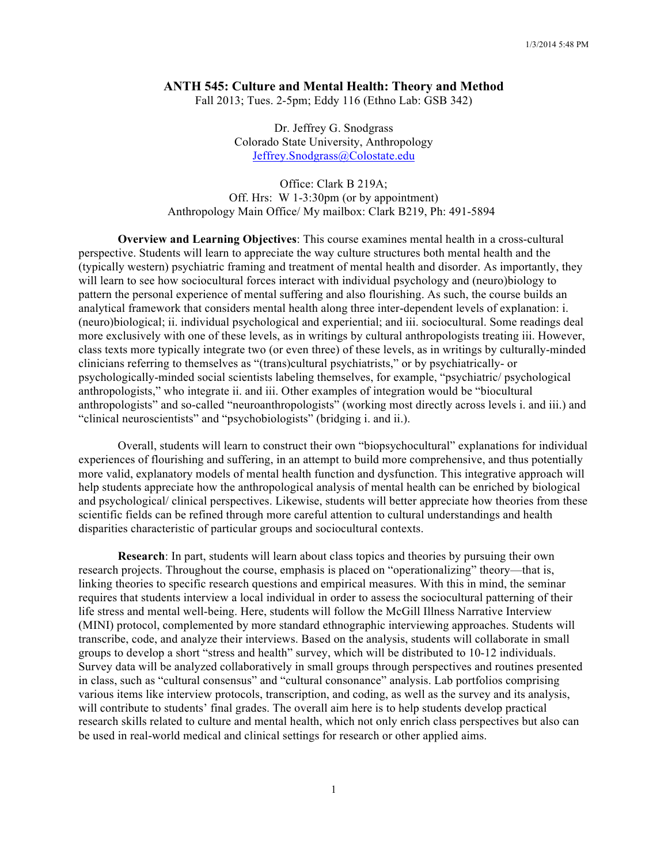## **ANTH 545: Culture and Mental Health: Theory and Method**

Fall 2013; Tues. 2-5pm; Eddy 116 (Ethno Lab: GSB 342)

Dr. Jeffrey G. Snodgrass Colorado State University, Anthropology Jeffrey.Snodgrass@Colostate.edu

Office: Clark B 219A; Off. Hrs: W 1-3:30pm (or by appointment) Anthropology Main Office/ My mailbox: Clark B219, Ph: 491-5894

**Overview and Learning Objectives**: This course examines mental health in a cross-cultural perspective. Students will learn to appreciate the way culture structures both mental health and the (typically western) psychiatric framing and treatment of mental health and disorder. As importantly, they will learn to see how sociocultural forces interact with individual psychology and (neuro)biology to pattern the personal experience of mental suffering and also flourishing. As such, the course builds an analytical framework that considers mental health along three inter-dependent levels of explanation: i. (neuro)biological; ii. individual psychological and experiential; and iii. sociocultural. Some readings deal more exclusively with one of these levels, as in writings by cultural anthropologists treating iii. However, class texts more typically integrate two (or even three) of these levels, as in writings by culturally-minded clinicians referring to themselves as "(trans)cultural psychiatrists," or by psychiatrically- or psychologically-minded social scientists labeling themselves, for example, "psychiatric/ psychological anthropologists," who integrate ii. and iii. Other examples of integration would be "biocultural anthropologists" and so-called "neuroanthropologists" (working most directly across levels i. and iii.) and "clinical neuroscientists" and "psychobiologists" (bridging i. and ii.).

Overall, students will learn to construct their own "biopsychocultural" explanations for individual experiences of flourishing and suffering, in an attempt to build more comprehensive, and thus potentially more valid, explanatory models of mental health function and dysfunction. This integrative approach will help students appreciate how the anthropological analysis of mental health can be enriched by biological and psychological/ clinical perspectives. Likewise, students will better appreciate how theories from these scientific fields can be refined through more careful attention to cultural understandings and health disparities characteristic of particular groups and sociocultural contexts.

**Research**: In part, students will learn about class topics and theories by pursuing their own research projects. Throughout the course, emphasis is placed on "operationalizing" theory—that is, linking theories to specific research questions and empirical measures. With this in mind, the seminar requires that students interview a local individual in order to assess the sociocultural patterning of their life stress and mental well-being. Here, students will follow the McGill Illness Narrative Interview (MINI) protocol, complemented by more standard ethnographic interviewing approaches. Students will transcribe, code, and analyze their interviews. Based on the analysis, students will collaborate in small groups to develop a short "stress and health" survey, which will be distributed to 10-12 individuals. Survey data will be analyzed collaboratively in small groups through perspectives and routines presented in class, such as "cultural consensus" and "cultural consonance" analysis. Lab portfolios comprising various items like interview protocols, transcription, and coding, as well as the survey and its analysis, will contribute to students' final grades. The overall aim here is to help students develop practical research skills related to culture and mental health, which not only enrich class perspectives but also can be used in real-world medical and clinical settings for research or other applied aims.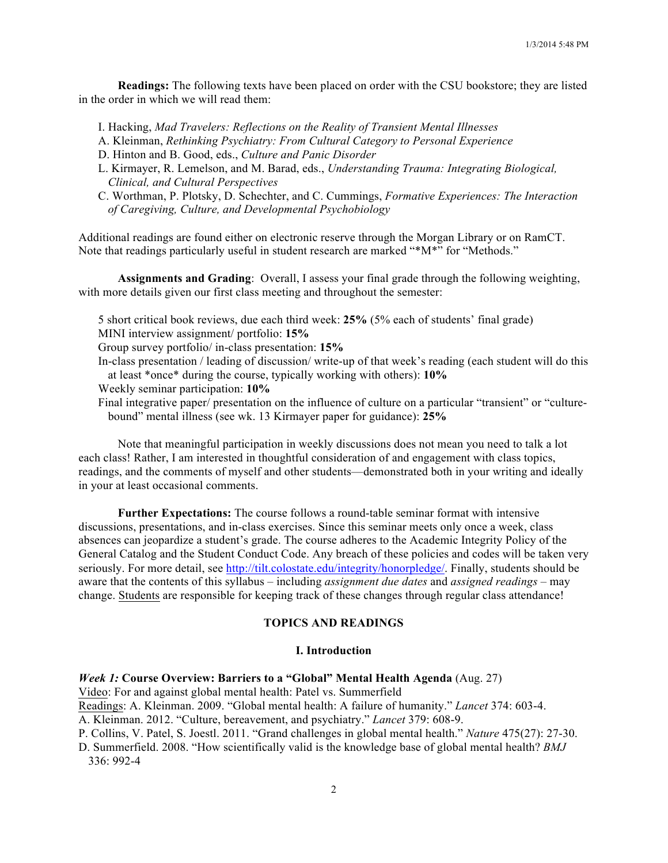**Readings:** The following texts have been placed on order with the CSU bookstore; they are listed in the order in which we will read them:

I. Hacking, *Mad Travelers: Reflections on the Reality of Transient Mental Illnesses*

- A. Kleinman, *Rethinking Psychiatry: From Cultural Category to Personal Experience*
- D. Hinton and B. Good, eds., *Culture and Panic Disorder*
- L. Kirmayer, R. Lemelson, and M. Barad, eds., *Understanding Trauma: Integrating Biological, Clinical, and Cultural Perspectives*
- C. Worthman, P. Plotsky, D. Schechter, and C. Cummings, *Formative Experiences: The Interaction of Caregiving, Culture, and Developmental Psychobiology*

Additional readings are found either on electronic reserve through the Morgan Library or on RamCT. Note that readings particularly useful in student research are marked "\*M\*" for "Methods."

**Assignments and Grading**: Overall, I assess your final grade through the following weighting, with more details given our first class meeting and throughout the semester:

- 5 short critical book reviews, due each third week: **25%** (5% each of students' final grade)
- MINI interview assignment/ portfolio: **15%**
- Group survey portfolio/ in-class presentation: **15%**
- In-class presentation / leading of discussion/ write-up of that week's reading (each student will do this at least \*once\* during the course, typically working with others): **10%**
- Weekly seminar participation: **10%**
- Final integrative paper/ presentation on the influence of culture on a particular "transient" or "culturebound" mental illness (see wk. 13 Kirmayer paper for guidance): **25%**

Note that meaningful participation in weekly discussions does not mean you need to talk a lot each class! Rather, I am interested in thoughtful consideration of and engagement with class topics, readings, and the comments of myself and other students—demonstrated both in your writing and ideally in your at least occasional comments.

**Further Expectations:** The course follows a round-table seminar format with intensive discussions, presentations, and in-class exercises. Since this seminar meets only once a week, class absences can jeopardize a student's grade. The course adheres to the Academic Integrity Policy of the General Catalog and the Student Conduct Code. Any breach of these policies and codes will be taken very seriously. For more detail, see http://tilt.colostate.edu/integrity/honorpledge/. Finally, students should be aware that the contents of this syllabus *–* including *assignment due dates* and *assigned readings* – may change. Students are responsible for keeping track of these changes through regular class attendance!

# **TOPICS AND READINGS**

### **I. Introduction**

### *Week 1:* **Course Overview: Barriers to a "Global" Mental Health Agenda** (Aug. 27)

Video: For and against global mental health: Patel vs. Summerfield

Readings: A. Kleinman. 2009. "Global mental health: A failure of humanity." *Lancet* 374: 603-4.

A. Kleinman. 2012. "Culture, bereavement, and psychiatry." *Lancet* 379: 608-9.

- P. Collins, V. Patel, S. Joestl. 2011. "Grand challenges in global mental health." *Nature* 475(27): 27-30.
- D. Summerfield. 2008. "How scientifically valid is the knowledge base of global mental health? *BMJ* 336: 992-4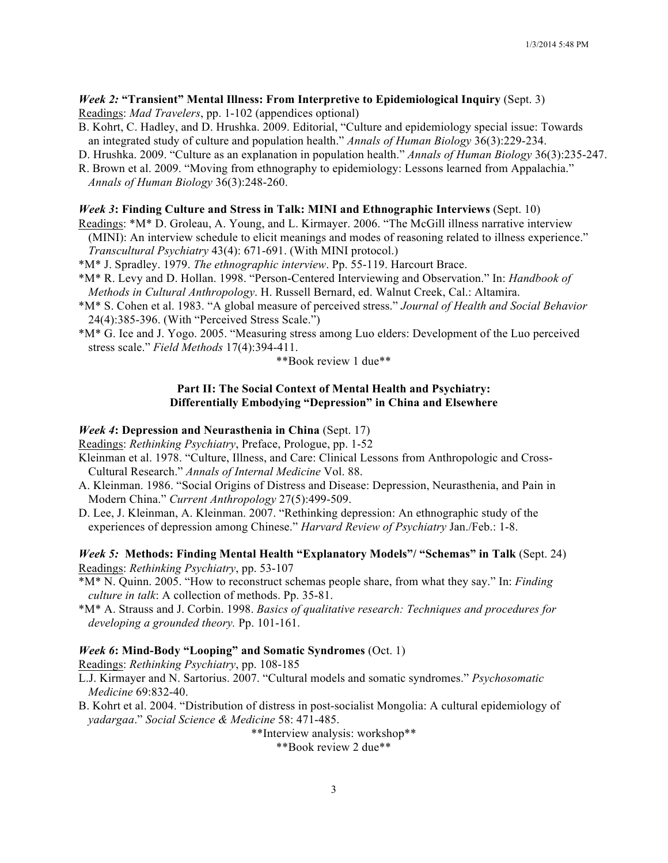## *Week 2:* **"Transient" Mental Illness: From Interpretive to Epidemiological Inquiry** (Sept. 3) Readings: *Mad Travelers*, pp. 1-102 (appendices optional)

B. Kohrt, C. Hadley, and D. Hrushka. 2009. Editorial, "Culture and epidemiology special issue: Towards an integrated study of culture and population health." *Annals of Human Biology* 36(3):229-234.

D. Hrushka. 2009. "Culture as an explanation in population health." *Annals of Human Biology* 36(3):235-247.

R. Brown et al. 2009. "Moving from ethnography to epidemiology: Lessons learned from Appalachia." *Annals of Human Biology* 36(3):248-260.

## *Week 3***: Finding Culture and Stress in Talk: MINI and Ethnographic Interviews** (Sept. 10)

- Readings: \*M\* D. Groleau, A. Young, and L. Kirmayer. 2006. "The McGill illness narrative interview (MINI): An interview schedule to elicit meanings and modes of reasoning related to illness experience." *Transcultural Psychiatry* 43(4): 671-691. (With MINI protocol.)
- \*M\* J. Spradley. 1979. *The ethnographic interview*. Pp. 55-119. Harcourt Brace.
- \*M\* R. Levy and D. Hollan. 1998. "Person-Centered Interviewing and Observation." In: *Handbook of Methods in Cultural Anthropology*. H. Russell Bernard, ed. Walnut Creek, Cal.: Altamira.
- \*M\* S. Cohen et al. 1983. "A global measure of perceived stress." *Journal of Health and Social Behavior* 24(4):385-396. (With "Perceived Stress Scale.")
- \*M\* G. Ice and J. Yogo. 2005. "Measuring stress among Luo elders: Development of the Luo perceived stress scale." *Field Methods* 17(4):394-411.

\*\*Book review 1 due\*\*

## **Part II: The Social Context of Mental Health and Psychiatry: Differentially Embodying "Depression" in China and Elsewhere**

### *Week 4***: Depression and Neurasthenia in China** (Sept. 17)

Readings: *Rethinking Psychiatry*, Preface, Prologue, pp. 1-52

- Kleinman et al. 1978. "Culture, Illness, and Care: Clinical Lessons from Anthropologic and Cross-Cultural Research." *Annals of Internal Medicine* Vol. 88.
- A. Kleinman. 1986. "Social Origins of Distress and Disease: Depression, Neurasthenia, and Pain in Modern China." *Current Anthropology* 27(5):499-509.
- D. Lee, J. Kleinman, A. Kleinman. 2007. "Rethinking depression: An ethnographic study of the experiences of depression among Chinese." *Harvard Review of Psychiatry* Jan./Feb.: 1-8.

# *Week 5:* **Methods: Finding Mental Health "Explanatory Models"/ "Schemas" in Talk** (Sept. 24) Readings: *Rethinking Psychiatry*, pp. 53-107

- \*M\* N. Quinn. 2005. "How to reconstruct schemas people share, from what they say." In: *Finding culture in talk*: A collection of methods. Pp. 35-81.
- \*M\* A. Strauss and J. Corbin. 1998. *Basics of qualitative research: Techniques and procedures for developing a grounded theory.* Pp. 101-161.

### *Week 6***: Mind-Body "Looping" and Somatic Syndromes** (Oct. 1)

Readings: *Rethinking Psychiatry*, pp. 108-185

- L.J. Kirmayer and N. Sartorius. 2007. "Cultural models and somatic syndromes." *Psychosomatic Medicine* 69:832-40.
- B. Kohrt et al. 2004. "Distribution of distress in post-socialist Mongolia: A cultural epidemiology of *yadargaa*." *Social Science & Medicine* 58: 471-485.

\*\*Interview analysis: workshop\*\*

\*\*Book review 2 due\*\*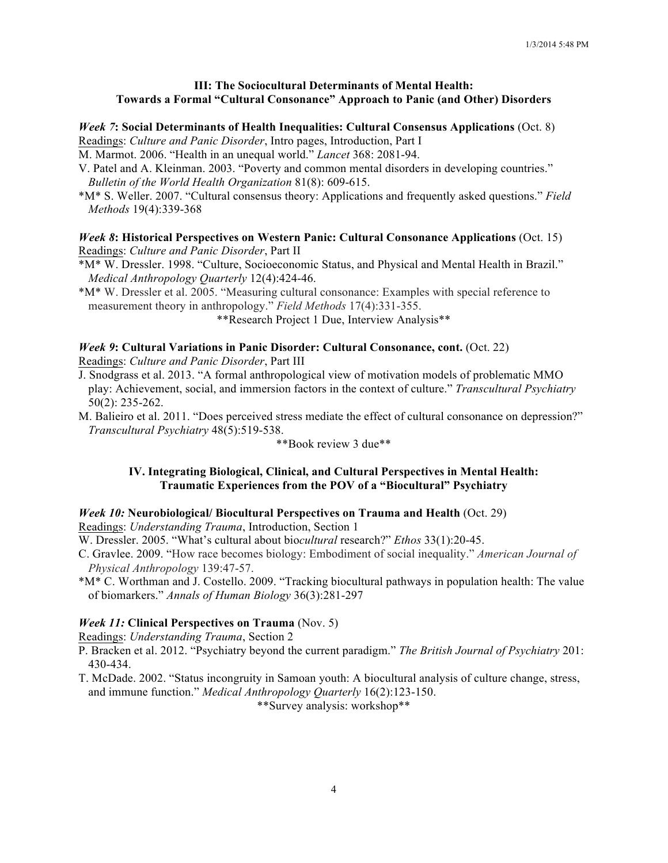# **III: The Sociocultural Determinants of Mental Health: Towards a Formal "Cultural Consonance" Approach to Panic (and Other) Disorders**

#### *Week 7***: Social Determinants of Health Inequalities: Cultural Consensus Applications** (Oct. 8)

Readings: *Culture and Panic Disorder*, Intro pages, Introduction, Part I

M. Marmot. 2006. "Health in an unequal world." *Lancet* 368: 2081-94.

- V. Patel and A. Kleinman. 2003. "Poverty and common mental disorders in developing countries." *Bulletin of the World Health Organization* 81(8): 609-615.
- \*M\* S. Weller. 2007. "Cultural consensus theory: Applications and frequently asked questions." *Field Methods* 19(4):339-368

### *Week 8***: Historical Perspectives on Western Panic: Cultural Consonance Applications** (Oct. 15) Readings: *Culture and Panic Disorder*, Part II

\*M\* W. Dressler. 1998. "Culture, Socioeconomic Status, and Physical and Mental Health in Brazil." *Medical Anthropology Quarterly* 12(4):424-46.

\*M\* W. Dressler et al. 2005. "Measuring cultural consonance: Examples with special reference to measurement theory in anthropology." *Field Methods* 17(4):331-355.

\*\*Research Project 1 Due, Interview Analysis\*\*

# *Week 9***: Cultural Variations in Panic Disorder: Cultural Consonance, cont.** (Oct. 22)

Readings: *Culture and Panic Disorder*, Part III

J. Snodgrass et al. 2013. "A formal anthropological view of motivation models of problematic MMO play: Achievement, social, and immersion factors in the context of culture." *Transcultural Psychiatry* 50(2): 235-262.

M. Balieiro et al. 2011. "Does perceived stress mediate the effect of cultural consonance on depression?" *Transcultural Psychiatry* 48(5):519-538.

\*\*Book review 3 due\*\*

### **IV. Integrating Biological, Clinical, and Cultural Perspectives in Mental Health: Traumatic Experiences from the POV of a "Biocultural" Psychiatry**

### *Week 10:* **Neurobiological/ Biocultural Perspectives on Trauma and Health** (Oct. 29)

Readings: *Understanding Trauma*, Introduction, Section 1

W. Dressler. 2005. "What's cultural about bio*cultural* research?" *Ethos* 33(1):20-45.

- C. Gravlee. 2009. "How race becomes biology: Embodiment of social inequality." *American Journal of Physical Anthropology* 139:47-57.
- \*M\* C. Worthman and J. Costello. 2009. "Tracking biocultural pathways in population health: The value of biomarkers." *Annals of Human Biology* 36(3):281-297

# *Week 11:* **Clinical Perspectives on Trauma** (Nov. 5)

Readings: *Understanding Trauma*, Section 2

- P. Bracken et al. 2012. "Psychiatry beyond the current paradigm." *The British Journal of Psychiatry* 201: 430-434.
- T. McDade. 2002. "Status incongruity in Samoan youth: A biocultural analysis of culture change, stress, and immune function." *Medical Anthropology Quarterly* 16(2):123-150.

\*\*Survey analysis: workshop\*\*